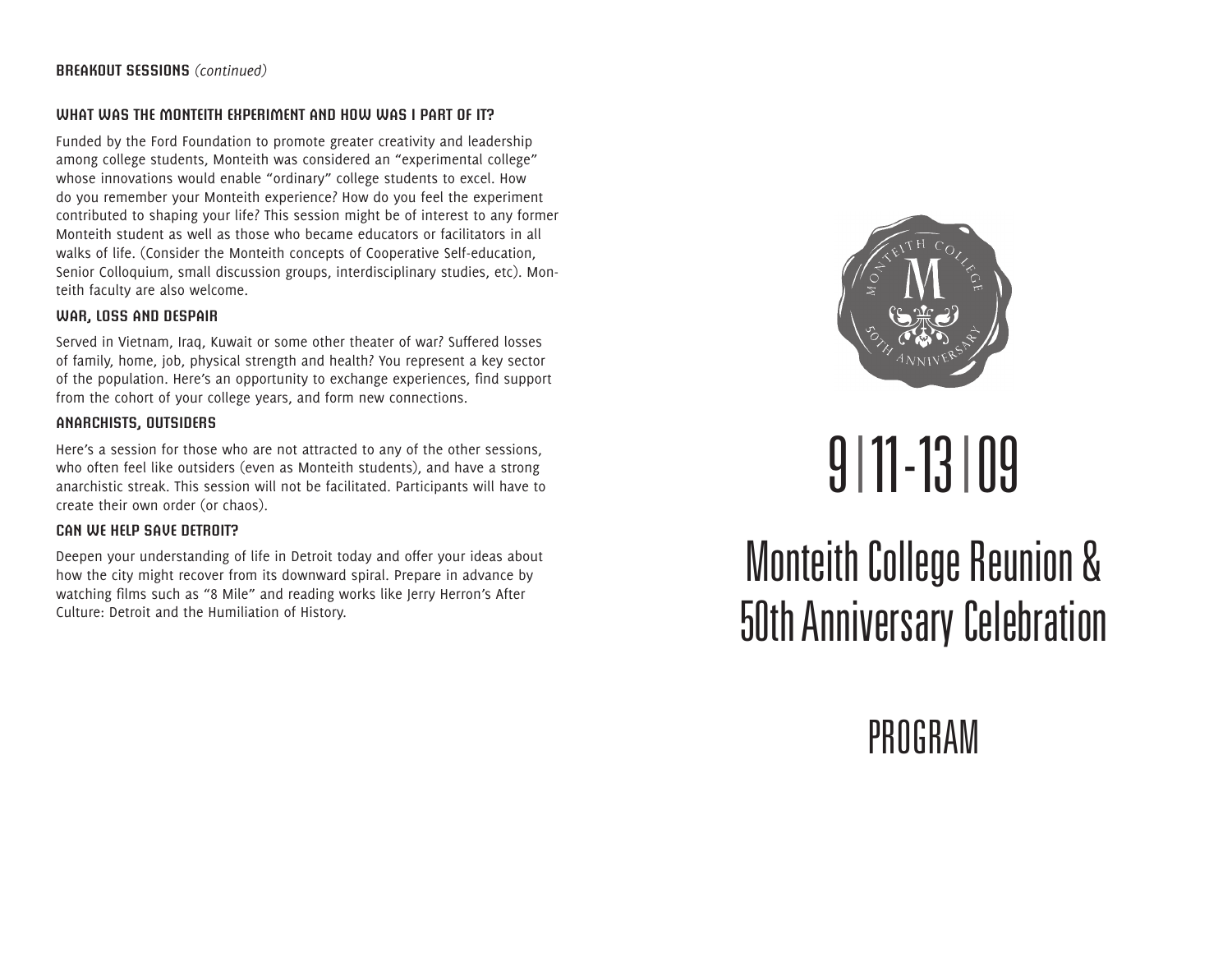#### **What was the Monteith experiment and how was I part of it?**

Funded by the Ford Foundation to promote greater creativity and leadership among college students, Monteith was considered an "experimental college" whose innovations would enable "ordinary" college students to excel. How do you remember your Monteith experience? How do you feel the experiment contributed to shaping your life? This session might be of interest to any former Monteith student as well as those who became educators or facilitators in all walks of life. (Consider the Monteith concepts of Cooperative Self-education, Senior Colloquium, small discussion groups, interdisciplinary studies, etc). Monteith faculty are also welcome.

#### **War, Loss and Despair**

Served in Vietnam, Iraq, Kuwait or some other theater of war? Suffered losses of family, home, job, physical strength and health? You represent a key sector of the population. Here's an opportunity to exchange experiences, find support from the cohort of your college years, and form new connections.

#### **Anarchists, Outsiders**

Here's a session for those who are not attracted to any of the other sessions, who often feel like outsiders (even as Monteith students), and have a strong anarchistic streak. This session will not be facilitated. Participants will have to create their own order (or chaos).

#### **Can We Help Save Detroit?**

Deepen your understanding of life in Detroit today and offer your ideas about how the city might recover from its downward spiral. Prepare in advance by watching films such as "8 Mile" and reading works like Jerry Herron's After Culture: Detroit and the Humiliation of History.



# 9|11-13|09

Monteith College Reunion & 50th Anniversary Celebration

**PROGRAM**